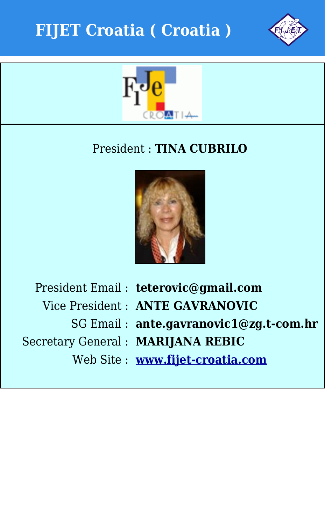



## President : **TINA CUBRILO**



Secretary General : **MARIJANA REBIC**

President Email : **teterovic@gmail.com**

Vice President : **ANTE GAVRANOVIC**

SG Email : **ante.gavranovic1@zg.t-com.hr**

Web Site : **[www.fijet-croatia.com](http://www.fijet-croatia.com)**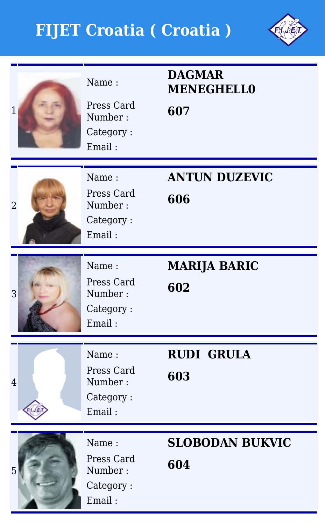

| 1              | Name:<br>Press Card<br>Number:<br>Category:<br>Email: | <b>DAGMAR</b><br><b>MENEGHELL0</b><br>607 |
|----------------|-------------------------------------------------------|-------------------------------------------|
| $\overline{2}$ | Name:<br>Press Card<br>Number:<br>Category:<br>Email: | <b>ANTUN DUZEVIC</b><br>606               |
| 3              | Name:<br>Press Card<br>Number:<br>Category:<br>Email: | <b>MARIJA BARIC</b><br>602                |
| $\overline{4}$ | Name:<br>Press Card<br>Number:<br>Category:<br>Email: | <b>RUDI GRULA</b><br>603                  |
|                | Name:<br>Press Card<br>Number:<br>Category:<br>Email: | <b>SLOBODAN BUKVIC</b><br>604             |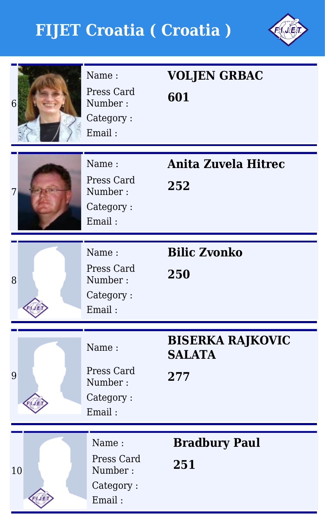

| 6  | Name:<br>Press Card<br>Number:<br>Category:<br>Email: | <b>VOLJEN GRBAC</b><br>601                      |
|----|-------------------------------------------------------|-------------------------------------------------|
| 7  | Name:<br>Press Card<br>Number:<br>Category:<br>Email: | <b>Anita Zuvela Hitrec</b><br>252               |
| 8  | Name:<br>Press Card<br>Number:<br>Category:<br>Email: | <b>Bilic Zvonko</b><br>250                      |
| 9  | Name:<br>Press Card<br>Number:<br>Category:<br>Email: | <b>BISERKA RAJKOVIC</b><br><b>SALATA</b><br>277 |
| 10 | Name:<br>Press Card<br>Number:<br>Category:<br>Email: | <b>Bradbury Paul</b><br>251                     |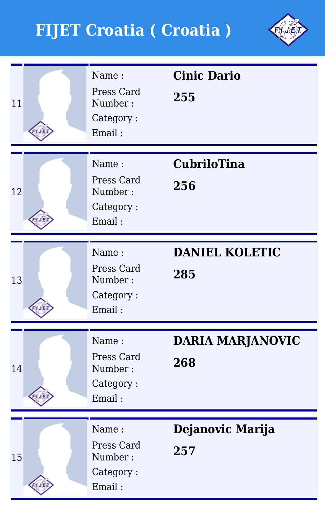

| 11 | Name:<br>Press Card<br>Number:<br>Category:<br>Email: | <b>Cinic Dario</b><br>255      |
|----|-------------------------------------------------------|--------------------------------|
| 12 | Name:<br>Press Card<br>Number:<br>Category:<br>Email: | <b>CubriloTina</b><br>256      |
| 13 | Name:<br>Press Card<br>Number:<br>Category:<br>Email: | <b>DANIEL KOLETIC</b><br>285   |
| 14 | Name:<br>Press Card<br>Number:<br>Category:<br>Email: | <b>DARIA MARJANOVIC</b><br>268 |
| 15 | Name:<br>Press Card<br>Number:<br>Category:<br>Email: | Dejanovic Marija<br>257        |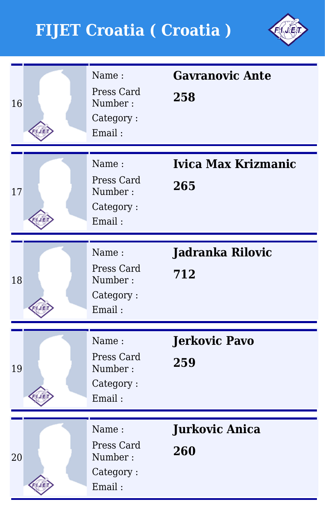

| 16 | Name:<br>Press Card<br>Number:<br>Category:<br>Email: | <b>Gavranovic Ante</b><br>258     |
|----|-------------------------------------------------------|-----------------------------------|
| 17 | Name:<br>Press Card<br>Number:<br>Category:<br>Email: | <b>Ivica Max Krizmanic</b><br>265 |
| 18 | Name:<br>Press Card<br>Number:<br>Category:<br>Email: | <b>Jadranka Rilovic</b><br>712    |
| 19 | Name:<br>Press Card<br>Number:<br>Category:<br>Email: | <b>Jerkovic Pavo</b><br>259       |
| 20 | Name:<br>Press Card<br>Number:<br>Category:<br>Email: | <b>Jurkovic Anica</b><br>260      |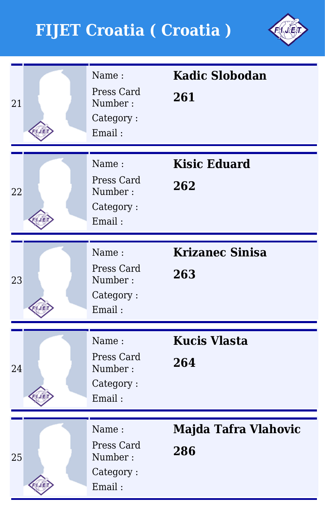

| 21 | Name:<br>Press Card<br>Number:<br>Category:<br>Email: | <b>Kadic Slobodan</b><br>261  |
|----|-------------------------------------------------------|-------------------------------|
| 22 | Name:<br>Press Card<br>Number:<br>Category:<br>Email: | <b>Kisic Eduard</b><br>262    |
| 23 | Name:<br>Press Card<br>Number:<br>Category:<br>Email: | <b>Krizanec Sinisa</b><br>263 |
| 24 | Name:<br>Press Card<br>Number:<br>Category:<br>Email: | <b>Kucis Vlasta</b><br>264    |
| 25 | Name:<br>Press Card<br>Number:<br>Category:<br>Email: | Majda Tafra Vlahovic<br>286   |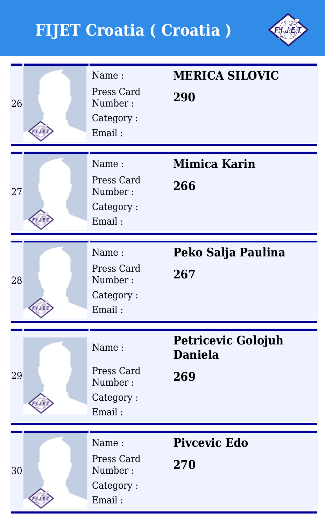

| 26 | Name:<br>Press Card<br>Number:<br>Category:<br>Email: | <b>MERICA SILOVIC</b><br>290                       |
|----|-------------------------------------------------------|----------------------------------------------------|
| 27 | Name:<br>Press Card<br>Number:<br>Category:<br>Email: | <b>Mimica Karin</b><br>266                         |
| 28 | Name:<br>Press Card<br>Number:<br>Category:<br>Email: | Peko Salja Paulina<br>267                          |
| 29 | Name:<br>Press Card<br>Number:<br>Category:<br>Email: | <b>Petricevic Golojuh</b><br><b>Daniela</b><br>269 |
| 30 | Name:<br>Press Card<br>Number:<br>Category:<br>Email: | <b>Pivcevic Edo</b><br>270                         |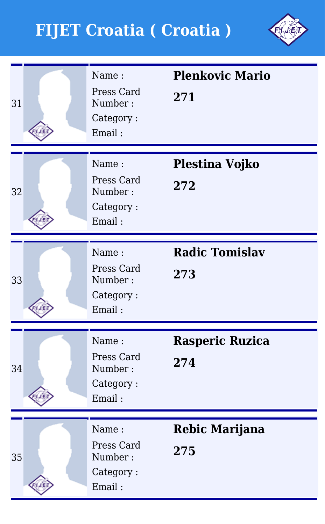

| 31 | Name:<br>Press Card<br>Number:<br>Category:<br>Email: | <b>Plenkovic Mario</b><br>271 |
|----|-------------------------------------------------------|-------------------------------|
| 32 | Name:<br>Press Card<br>Number:<br>Category:<br>Email: | Plestina Vojko<br>272         |
| 33 | Name:<br>Press Card<br>Number:<br>Category:<br>Email: | <b>Radic Tomislav</b><br>273  |
| 34 | Name:<br>Press Card<br>Number:<br>Category:<br>Email: | Rasperic Ruzica<br>274        |
| 35 | Name:<br>Press Card<br>Number:<br>Category:<br>Email: | <b>Rebic Marijana</b><br>275  |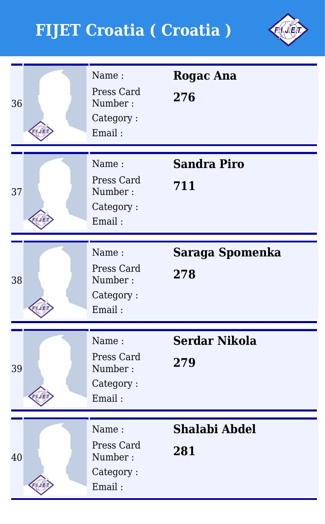

| 36 | Name:<br>Press Card<br>Number:<br>Category:<br>Email: | <b>Rogac Ana</b><br>276     |
|----|-------------------------------------------------------|-----------------------------|
| 37 | Name:<br>Press Card<br>Number:<br>Category:<br>Email: | <b>Sandra Piro</b><br>711   |
| 38 | Name:<br>Press Card<br>Number:<br>Category:<br>Email: | Saraga Spomenka<br>278      |
| 39 | Name:<br>Press Card<br>Number:<br>Category:<br>Email: | <b>Serdar Nikola</b><br>279 |
| 40 | Name:<br>Press Card<br>Number:<br>Category:<br>Email: | <b>Shalabi Abdel</b><br>281 |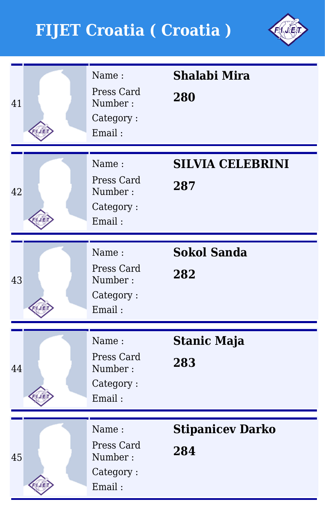

| 41 | Name:<br>Press Card<br>Number:<br>Category:<br>Email: | <b>Shalabi Mira</b><br>280     |
|----|-------------------------------------------------------|--------------------------------|
| 42 | Name:<br>Press Card<br>Number:<br>Category:<br>Email: | <b>SILVIA CELEBRINI</b><br>287 |
| 43 | Name:<br>Press Card<br>Number:<br>Category:<br>Email: | <b>Sokol Sanda</b><br>282      |
| 44 | Name:<br>Press Card<br>Number:<br>Category:<br>Email: | <b>Stanic Maja</b><br>283      |
| 45 | Name:<br>Press Card<br>Number:<br>Category:<br>Email: | <b>Stipanicev Darko</b><br>284 |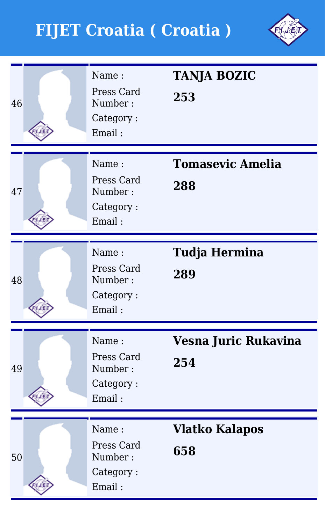

| 46 | Name:<br>Press Card<br>Number:<br>Category:<br>Email: | <b>TANJA BOZIC</b><br>253      |
|----|-------------------------------------------------------|--------------------------------|
| 47 | Name:<br>Press Card<br>Number:<br>Category:<br>Email: | <b>Tomasevic Amelia</b><br>288 |
| 48 | Name:<br>Press Card<br>Number:<br>Category:<br>Email: | <b>Tudja Hermina</b><br>289    |
| 49 | Name:<br>Press Card<br>Number:<br>Category:<br>Email: | Vesna Juric Rukavina<br>254    |
| 50 | Name:<br>Press Card<br>Number:<br>Category:<br>Email: | <b>Vlatko Kalapos</b><br>658   |